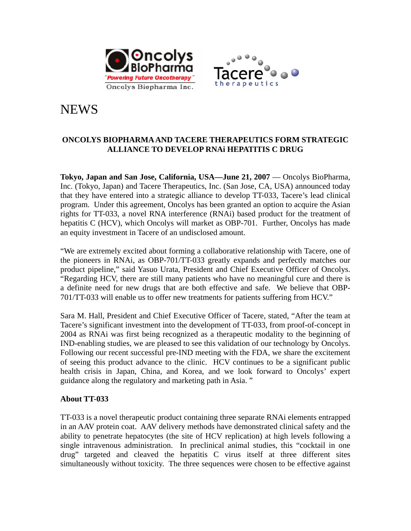



# **NEWS**

# **ONCOLYS BIOPHARMA AND TACERE THERAPEUTICS FORM STRATEGIC ALLIANCE TO DEVELOP RNAi HEPATITIS C DRUG**

Tokyo, Japan and San Jose, California, USA—June 21, 2007 — Oncolys BioPharma, Inc. (Tokyo, Japan) and Tacere Therapeutics, Inc. (San Jose, CA, USA) announced today that they have entered into a strategic alliance to develop TT-033, Tacere's lead clinical program. Under this agreement, Oncolys has been granted an option to acquire the Asian rights for TT-033, a novel RNA interference (RNAi) based product for the treatment of hepatitis C (HCV), which Oncolys will market as OBP-701. Further, Oncolys has made an equity investment in Tacere of an undisclosed amount.

"We are extremely excited about forming a collaborative relationship with Tacere, one of the pioneers in RNAi, as OBP-701/TT-033 greatly expands and perfectly matches our product pipeline," said Yasuo Urata, President and Chief Executive Officer of Oncolys. "Regarding HCV, there are still many patients who have no meaningful cure and there is a definite need for new drugs that are both effective and safe. We believe that OBP-701/TT-033 will enable us to offer new treatments for patients suffering from HCV."

Sara M. Hall, President and Chief Executive Officer of Tacere, stated, "After the team at Tacere's significant investment into the development of TT-033, from proof-of-concept in 2004 as RNAi was first being recognized as a therapeutic modality to the beginning of IND-enabling studies, we are pleased to see this validation of our technology by Oncolys. Following our recent successful pre-IND meeting with the FDA, we share the excitement of seeing this product advance to the clinic. HCV continues to be a significant public health crisis in Japan, China, and Korea, and we look forward to Oncolys' expert guidance along the regulatory and marketing path in Asia. "

# **About TT-033**

TT-033 is a novel therapeutic product containing three separate RNAi elements entrapped in an AAV protein coat. AAV delivery methods have demonstrated clinical safety and the ability to penetrate hepatocytes (the site of HCV replication) at high levels following a single intravenous administration. In preclinical animal studies, this "cocktail in one drug" targeted and cleaved the hepatitis C virus itself at three different sites simultaneously without toxicity. The three sequences were chosen to be effective against